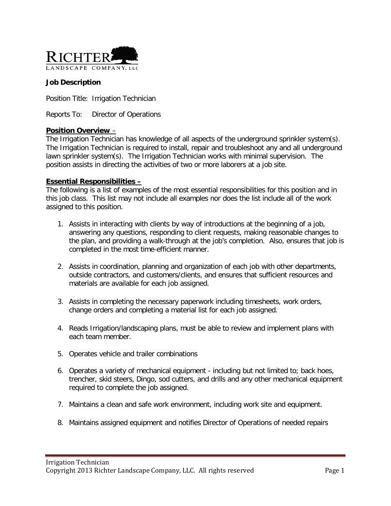

## **Job Description**

Position Title: Irrigation Technician

Reports To: Director of Operations

#### **Position Overview** –

The Irrigation Technician has knowledge of all aspects of the underground sprinkler system(s). The Irrigation Technician is required to install, repair and troubleshoot any and all underground lawn sprinkler system(s). The Irrigation Technician works with minimal supervision. The position assists in directing the activities of two or more laborers at a job site.

#### **Essential Responsibilities –**

The following is a list of examples of the most essential responsibilities for this position and in this job class. This list may not include all examples nor does the list include all of the work assigned to this position.

- 1. Assists in interacting with clients by way of introductions at the beginning of a job, answering any questions, responding to client requests, making reasonable changes to the plan, and providing a walk-through at the job's completion. Also, ensures that job is completed in the most time-efficient manner.
- 2. Assists in coordination, planning and organization of each job with other departments, outside contractors, and customers/clients, and ensures that sufficient resources and materials are available for each job assigned.
- 3. Assists in completing the necessary paperwork including timesheets, work orders, change orders and completing a material list for each job assigned.
- 4. Reads Irrigation/landscaping plans, must be able to review and implement plans with each team member.
- 5. Operates vehicle and trailer combinations
- 6. Operates a variety of mechanical equipment including but not limited to; back hoes, trencher, skid steers, Dingo, sod cutters, and drills and any other mechanical equipment required to complete the job assigned.
- 7. Maintains a clean and safe work environment, including work site and equipment.
- 8. Maintains assigned equipment and notifies Director of Operations of needed repairs